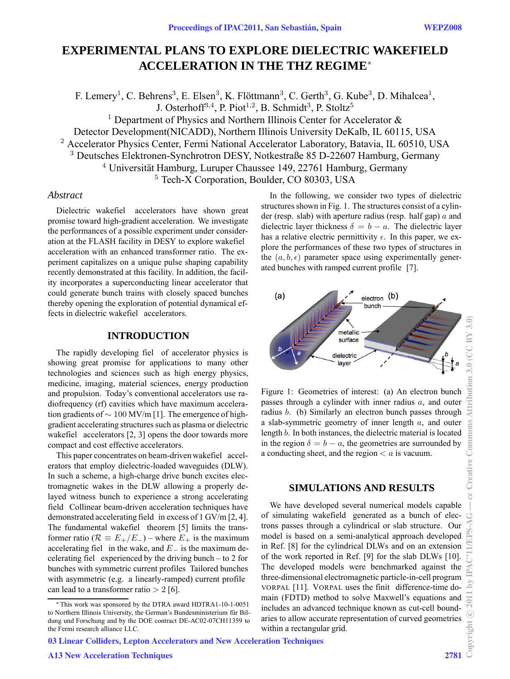# **EXPERIMENTAL PLANS TO EXPLORE DIELECTRIC WAKEFIELD ACCELERATION IN THE THZ REGIME**<sup>∗</sup>

F. Lemery<sup>1</sup>, C. Behrens<sup>3</sup>, E. Elsen<sup>3</sup>, K. Flöttmann<sup>3</sup>, C. Gerth<sup>3</sup>, G. Kube<sup>3</sup>, D. Mihalcea<sup>1</sup>, J. Osterhoff<sup>3,4</sup>, P. Piot<sup>1,2</sup>, B. Schmidt<sup>3</sup>, P. Stoltz<sup>5</sup>

<sup>1</sup> Department of Physics and Northern Illinois Center for Accelerator  $\&$ 

Detector Development(NICADD), Northern Illinois University DeKalb, IL 60115, USA

<sup>2</sup> Accelerator Physics Center, Fermi National Accelerator Laboratory, Batavia, IL 60510, USA

<sup>3</sup> Deutsches Elektronen-Synchrotron DESY, Notkestraße 85 D-22607 Hamburg, Germany

 $4$  Universität Hamburg, Luruper Chaussee 149, 22761 Hamburg, Germany

<sup>5</sup> Tech-X Corporation, Boulder, CO 80303, USA

## *Abstract*

Dielectric wakefiel accelerators have shown great promise toward high-gradient acceleration. We investigate the performances of a possible experiment under consideration at the FLASH facility in DESY to explore wakefiel acceleration with an enhanced transformer ratio. The experiment capitalizes on a unique pulse shaping capability recently demonstrated at this facility. In addition, the facility incorporates a superconducting linear accelerator that could generate bunch trains with closely spaced bunches thereby opening the exploration of potential dynamical effects in dielectric wakefiel accelerators.

# **INTRODUCTION**

The rapidly developing fiel of accelerator physics is showing great promise for applications to many other technologies and sciences such as high energy physics, medicine, imaging, material sciences, energy production and propulsion. Today's conventional accelerators use radiofrequency (rf) cavities which have maximum acceleration gradients of ∼ 100 MV/m [1]. The emergence of highgradient accelerating structures such as plasma or dielectric wakefiel accelerators [2, 3] opens the door towards more compact and cost effective accelerators.

This paper concentrates on beam-driven wakefiel accelerators that employ dielectric-loaded waveguides (DLW). In such a scheme, a high-charge drive bunch excites electromagnetic wakes in the DLW allowing a properly delayed witness bunch to experience a strong accelerating field Collinear beam-driven acceleration techniques have demonstrated accelerating field in excess of 1 GV/m [2, 4]. The fundamental wakefiel theorem [5] limits the transformer ratio ( $\mathcal{R} \equiv E_{+}/E_{-}$ ) – where  $E_{+}$  is the maximum accelerating fiel in the wake, and E*<sup>−</sup>* is the maximum decelerating fiel experienced by the driving bunch – to 2 for bunches with symmetric current profiles Tailored bunches with asymmetric (e.g. a linearly-ramped) current profile can lead to a transformer ratio  $> 2$  [6].

03 Linear Colliders, Lepton Accelerators and New Acceleration Techniques

In the following, we consider two types of dielectric structures shown in Fig. 1. The structures consist of a cylinder (resp. slab) with aperture radius (resp. half gap)  $a$  and dielectric layer thickness  $\delta = b - a$ . The dielectric layer has a relative electric permittivity  $\epsilon$ . In this paper, we explore the performances of these two types of structures in the  $(a, b, \epsilon)$  parameter space using experimentally generated bunches with ramped current profile [7].



Figure 1: Geometries of interest: (a) An electron bunch passes through a cylinder with inner radius  $a$ , and outer radius b. (b) Similarly an electron bunch passes through a slab-symmetric geometry of inner length  $a$ , and outer length b. In both instances, the dielectric material is located in the region  $\delta = b - a$ , the geometries are surrounded by a conducting sheet, and the region  $\lt a$  is vacuum.

### **SIMULATIONS AND RESULTS**

We have developed several numerical models capable of simulating wakefield generated as a bunch of electrons passes through a cylindrical or slab structure. Our model is based on a semi-analytical approach developed in Ref. [8] for the cylindrical DLWs and on an extension of the work reported in Ref. [9] for the slab DLWs [10]. The developed models were benchmarked against the three-dimensional electromagnetic particle-in-cell program VORPAL [11]. VORPAL uses the finit difference-time domain (FDTD) method to solve Maxwell's equations and includes an advanced technique known as cut-cell boundaries to allow accurate representation of curved geometries within a rectangular grid.

<sup>∗</sup> This work was sponsored by the DTRA award HDTRA1-10-1-0051 to Northern Illinois University, the German's Bundesministerium für Bildung und Forschung and by the DOE contract DE-AC02-07CH11359 to the Fermi research alliance LLC.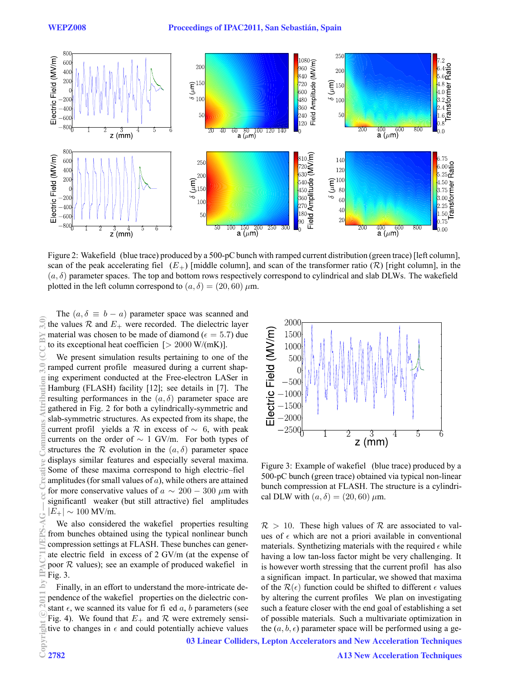

Figure 2: Wakefield (blue trace) produced by a 500-pC bunch with ramped current distribution (green trace) [left column], scan of the peak accelerating fiel  $(E_{+})$  [middle column], and scan of the transformer ratio ( $\mathcal{R}$ ) [right column], in the  $(a, \delta)$  parameter spaces. The top and bottom rows respectively correspond to cylindrical and slab DLWs. The wakefield plotted in the left column correspond to  $(a, \delta) = (20, 60) \mu m$ .

The  $(a, \delta \equiv b - a)$  parameter space was scanned and the values  $\mathcal R$  and  $E_+$  were recorded. The dielectric layer material was chosen to be made of diamond ( $\epsilon = 5.7$ ) due to its exceptional heat coefficien  $[> 2000 \text{ W/(mK)}]$ .

We present simulation results pertaining to one of the ramped current profile measured during a current shaping experiment conducted at the Free-electron LASer in Hamburg (FLASH) facility [12]; see details in [7]. The resulting performances in the  $(a, \delta)$  parameter space are gathered in Fig. 2 for both a cylindrically-symmetric and slab-symmetric structures. As expected from its shape, the current profil yields a R in excess of  $\sim 6$ , with peak currents on the order of  $\sim 1$  GV/m. For both types of structures the R evolution in the  $(a, \delta)$  parameter space displays similar features and especially several maxima. Some of these maxima correspond to high electric–fiel amplitudes (for small values of  $a$ ), while others are attained for more conservative values of  $a \sim 200 - 300 \ \mu m$  with significantl weaker (but still attractive) fiel amplitudes  $|E_{+}| \sim 100$  MV/m.

We also considered the wakefiel properties resulting from bunches obtained using the typical nonlinear bunch compression settings at FLASH. These bunches can generate electric field in excess of 2 GV/m (at the expense of poor  $R$  values); see an example of produced wakefiel in Fig. 3.

Finally, in an effort to understand the more-intricate dependence of the wakefiel properties on the dielectric constant  $\epsilon$ , we scanned its value for fi ed a, b parameters (see Fig. 4). We found that  $E_+$  and  $R$  were extremely sensitive to changes in  $\epsilon$  and could potentially achieve values



Figure 3: Example of wakefiel (blue trace) produced by a 500-pC bunch (green trace) obtained via typical non-linear bunch compression at FLASH. The structure is a cylindrical DLW with  $(a, \delta) = (20, 60) \mu m$ .

 $\mathcal{R} > 10$ . These high values of  $\mathcal{R}$  are associated to values of  $\epsilon$  which are not a priori available in conventional materials. Synthetizing materials with the required  $\epsilon$  while having a low tan-loss factor might be very challenging. It is however worth stressing that the current profil has also a significan impact. In particular, we showed that maxima of the  $\mathcal{R}(\epsilon)$  function could be shifted to different  $\epsilon$  values by altering the current profiles We plan on investigating such a feature closer with the end goal of establishing a set of possible materials. Such a multivariate optimization in the  $(a, b, \epsilon)$  parameter space will be performed using a ge-

03 Linear Colliders, Lepton Accelerators and New Acceleration Techniques